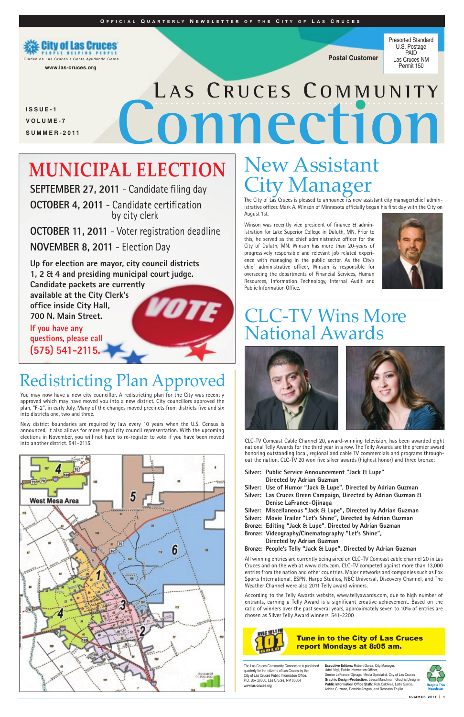**SEPTEMBER 27, 2011** - Candidate filing day

**OCTOBER 4, 2011** - Candidate certification by city clerk

**OCTOBER 11, 2011** - Voter registration deadline

**NOVEMBER 8, 2011** - Election Day

**Up for election are mayor, city council districts 1, 2 & 4 and presiding municipal court judge. Candidate packets are currently available at the City Clerk's office inside City Hall, 700 N. Main Street.**

**If you have any questions, please call (575) 541-2115.**

# Redistricting Plan Approv

**Silver: Public Service Announcement "Jack & Lupe" Directed by Adrian Guzman**

**Silver: Use of Humor "Jack & Lupe", Directed by Adrian Guzman** 

**Silver: Las Cruces Green Campaign, Directed by Adrian Guzman & Denise LaFrance-Ojinaga** 

**Silver: Miscellaneous "Jack & Lupe", Directed by Adrian Guzman Silver: Movie Trailer "Let's Shine", Directed by Adrian Guzman Bronze: Editing "Jack & Lupe", Directed by Adrian Guzman** 

**Bronze: Videography/Cinematography "Let's Shine", Directed by Adrian Guzman Bronze: People's Telly "Jack & Lupe", Directed by Adrian Guzman** 

# CLC-TV Wins More National Awards





# **OMNection**<br> **CONNEW Assistant L A S CR U C E S C O M M U N I T Y**

# **MUNICIPAL ELECTION**

CLC-TV Comcast Cable Channel 20, award-winning television, has been awarded eight national Telly Awards for the third year in a row. The Telly Awards are the premier award honoring outstanding local, regional and cable TV commercials and programs throughout the nation. CLC-TV 20 won five silver awards (highest honor) and three bronze:

All winning entries are currently being aired on CLC-TV Comcast cable channel 20 in Las Cruces and on the web at www.clctv.com. CLC-TV competed against more than 13,000 entries from the nation and other countries. Major networks and companies such as Fox Sports International, ESPN, Harpo Studios, NBC Universal, Discovery Channel, and The Weather Channel were also 2011 Telly award winners.

According to the Telly Awards website, www.tellyawards.com, due to high number of entrants, earning a Telly Award is a significant creative achievement. Based on the ratio of winners over the past several years, approximately seven to 10% of entries are chosen as Silver Telly Award winners. 541-2200



#### **O F F I C I A L Q U A R T E R L Y N E W S L E T T E R O F T H E C I T Y O F L A S C R U C E S**

**Postal Customer**



Presorted Standard U.S. Postage PAID Las Cruces NM Permit 150

**I S S U E - 1 V O L U M E - 7 S U M M E R - 2 0 1 1**

**www.las-cruces.org**

**Executive Editors:** Robert Garza, City Manager, Udell Vigil, Public Information Officer Denise LaFrance-Ojinaga, Media Specialist, City of Las Cruces Graphic Design-Production: Leesa Mandlman, Graphic Design **Public Information Office Staff/:** Rob Caldwell, Letty Garcia, Adrian Guzman, Dominic Aragon, and Roseann Trujillo



The Las Cruces Community Connection is published quarterly for the citizens of Las Cruces by the City of Las Cruces Public Information Office. P.O. Box 20000, Las Cruces, NM 88004 www.las-cruces.org

# City Manager

The City of Las Cruces is pleased to announce its new assistant city manager/chief administrative officer. Mark A. Winson of Minnesota officially began his first day with the City on August 1st.

Winson was recently vice president of finance & administration for Lake Superior College in Duluth, MN. Prior to this, he served as the chief administrative officer for the City of Duluth, MN. Winson has more than 20-years of progressively responsible and relevant job related experience with managing in the public sector. As the City's chief administrative officer, Winson is responsible for overseeing the departments of Financial Services, Human Resources, Information Technology, Internal Audit and Public Information Office.



You may now have a new city councillor. A redistricting plan for the City was recently approved which may have moved you into a new district. City councillors approved the plan, "F-2", in early July. Many of the changes moved precincts from districts five and six into districts one, two and three.

New district boundaries are required by law every 10 years when the U.S. Census is announced. It also allows for more equal city council representation. With the upcoming elections in November, you will not have to re-register to vote if you have been moved into another district. 541-2115



#### Tune in to the City of Las Cruces report Mondays at 8:05 am.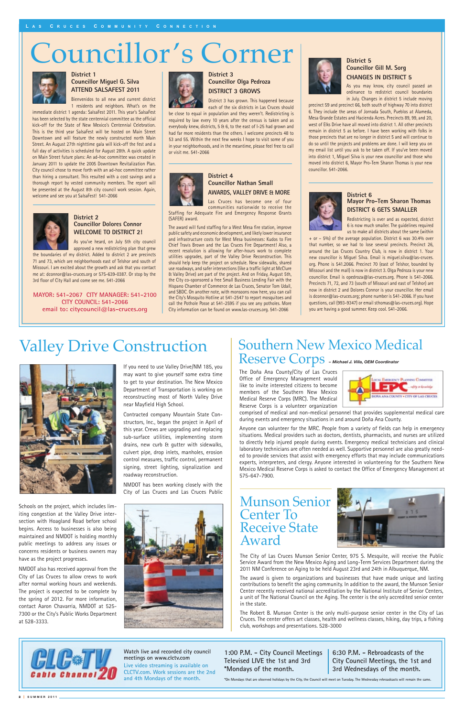# Councillor's Corner



# Southern New Mexico Medical Reserve Corps *– Michael J. Villa, OEM Coordinator*

The Doña Ana County/City of Las Cruces Office of Emergency Management would like to invite interested citizens to become members of the Southern New Mexico Medical Reserve Corps (MRC). The Medical Reserve Corps is a volunteer organization



comprised of medical and non-medical personnel that provides supplemental medical care during events and emergency situations in and around Doña Ana County.

Anyone can volunteer for the MRC. People from a variety of fields can help in emergency situations. Medical providers such as doctors, dentists, pharmacists, and nurses are utilized to directly help injured people during events. Emergency medical technicians and clinical laboratory technicians are often needed as well. Supportive personnel are also greatly needed to provide services that assist with emergency efforts that may include communications experts, interpreters, and clergy. Anyone interested in volunteering for the Southern New Mexico Medical Reserve Corps is asked to contact the Office of Emergency Management at 575-647-7900.

#### **District 3 Councillor Olga Pedroza DISTRICT 3 GROWS**

District 3 has grown. This happened because

each of the six districts in Las Cruces should be close to equal in population and they weren't. Redistricting is required by law every 10 years after the census is taken and as everybody knew, districts, 5 & 6, to the east of I-25 had grown and had far more residents than the others. I welcome precincts 48 to 53 and 55. Within the next few weeks I hope to visit some of you in your neighborhoods, and in the meantime, please feel free to call or visit me. 541-2066



#### **District 4 Councillor Nathan Small AWARDS, VALLEY DRIVE & MORE**

Las Cruces has become one of four communities nationwide to receive the Staffing for Adequate Fire and Emergency Response Grants (SAFER) award.

The award will fund staffing for a West Mesa fire station, improve public safety and economic development, and likely lower insurance and infrastructure costs for West Mesa businesses: Kudos to Fire Chief Travis Brown and the Las Cruces Fire Department! Also, a recent resolution is allowing for after-hours work to complete utilities upgrades, part of the Valley Drive Reconstruction. This should help keep the project on schedule. New sidewalks, shared use roadways, and safer intersections (like a traffic light at McClure & Valley Drive) are part of the project. And on Friday, August 5th, the City co-sponsored a free Small Business Lending Fair with the Hispano Chamber of Commerce de Las Cruces, Senator Tom Udall, and SBDC. On another note, with monsoons now here, you can call the City's Mosquito Hotline at 541-2547 to report mosquitoes and call the Pothole Posse at 541-2595 if you see any potholes. More City information can be found on www.las-cruces.org. 541-2066



#### **District 5 Councillor Gill M. Sorg CHANGES IN DISTRICT 5**

As you may know, city council passed an ordinance to redistrict council boundaries in July. Changes in district 5 include moving

precinct 59 and precinct 66, both south of highway 70 into district 6. They include the areas of Jornada South, Pueblos at Alameda, Mesa Grande Estates and Hacienda Acres. Precincts 89, 99, and 20, west of Elks Drive have all moved into district 1. All other precincts remain in district 5 as before. I have been working with folks in those precincts that are no longer in district 5 and will continue to do so until the projects and problems are done. I will keep you on my email list until you ask to be taken off. If you've been moved into district 1, Miguel Silva is your new councillor and those who moved into district 6, Mayor Pro-Tem Sharon Thomas is your new councillor. 541-2066.



#### **District 6 Mayor Pro-Tem Sharon Thomas DISTRICT 6 GETS SMALLER**

Redistricting is over and as expected, district 6 is now much smaller. The guidelines required us to make all districts about the same (within

+ or – 5%) of the average population. District 6 was 30.4% over that number, so we had to lose several precincts. Precinct 26, around the Las Cruces Country Club, is now in district 1. Your new councillor is Miguel Silva. Email is miguel.silva@las-cruces. org. Phone is 541.2066. Precinct 70 (east of Telshor, bounded by Missouri and the mall) is now in district 3. Olga Pedroza is your new councillor. Email is opedroza@las-cruces.org. Phone is 541-2066. Precincts 71, 72, and 73 (south of Missouri and east of Telshor) are now in district 2 and Dolores Connor is your councillor. Her email is dconnor@las-cruces.org; phone number is 541-2066. If you have questions, call (993-9347) or email sthomas@las-cruces.org). Hope you are having a good summer. Keep cool. 541-2066.

#### **District 1 Councillor Miguel G. Silva ATTEND SALSAFEST 2011**

Bienvenidos to all new and current district 1 residents and neighbors. What's on the

immediate district 1 agenda: SalsaFest 2011. This year's SalsaFest has been selected by the state centennial committee as the official kick-off for the State of New Mexico's Centennial Celebration. This is the third year SalsaFest will be hosted on Main Street Downtown and will feature the newly constructed north Main Street. An August 27th nighttime gala will kick-off the fest and a full day of activities is scheduled for August 28th. A quick update on Main Street future plans: An ad-hoc committee was created in January 2011 to update the 2005 Downtown Revitalization Plan. City council chose to move forth with an ad-hoc committee rather than hiring a consultant. This resulted with a cost savings and a thorough report by vested community members. The report will be presented at the August 8th city council work session. Again, welcome and see you at SalsaFest! 541-2066



#### **District 2 Councillor Dolores Connor WELCOME TO DISTRICT 2!**

As you've heard, on July 5th city council approved a new redistricting plan that grew

the boundaries of my district. Added to district 2 are precincts 71 and 73, which are neighborhoods east of Telshor and south of Missouri. I am excited about the growth and ask that you contact me at: dconnor@las-cruces.org or 575-639-0387. Or stop by the 3rd floor of City Hall and come see me. 541-2066

> **Watch live and recorded city council meetings on www.clctv.com**

**Live video streaming is available on CLCTV.com. Work sessions are the 2nd and 4th Mondays of the month.**

**1:00 P.M. - City Council Meetings Televised LIVE the 1st and 3rd \*Mondays of the month.**

**6:30 P.M. - Rebroadcasts of the City Council Meetings, the 1st and 3rd Wednesdays of the month.**

**\*On Mondays that are observed holidays by the City, the Council will meet on Tuesday. The Wednesday rebroadcasts will remain the same.**

2 **| <sup>S</sup> U M M E R 2 0 1 1**

# Valley Drive Construction



**MAYOR: 541-2067 CITY MANAGER: 541-2100 CITY COUNCIL: 541-2066 email to: citycouncil@las-cruces.org**



If you need to use Valley Drive/NM 185, you may want to give yourself some extra time to get to your destination. The New Mexico Department of Transportation is working on reconstructing most of North Valley Drive near Mayfield High School.

Contracted company Mountain State Constructors, Inc., began the project in April of this year. Crews are upgrading and replacing sub-surface utilities, implementing storm drains, new curb & gutter with sidewalks, culvert pipe, drop inlets, manholes, erosion control measures, traffic control, permanent signing, street lighting, signalization and roadway reconstruction.

NMDOT has been working closely with the City of Las Cruces and Las Cruces Public





# Award

The City of Las Cruces Munson Senior Center, 975 S. Mesquite, will receive the Public Service Award from the New Mexico Aging and Long-Term Services Department during the 2011 NM Conference on Aging to be held August 23rd and 24th in Albuquerque, NM.

The award is given to organizations and businesses that have made unique and lasting contributions to benefit the aging community. In addition to the award, the Munson Senior Center recently received national accreditation by the National Institute of Senior Centers, a unit of The National Council on the Aging. The center is the only accredited senior center in the state.

The Robert B. Munson Center is the only multi-purpose senior center in the City of Las Cruces. The center offers art classes, health and wellness classes, hiking, day trips, a fishing club, workshops and presentations. 528-3000



Schools on the project, which includes limiting congestion at the Valley Drive intersection with Hoagland Road before school begins. Access to businesses is also being maintained and NMDOT is holding monthly public meetings to address any issues or concerns residents or business owners may have as the project progresses.

NMDOT also has received approval from the City of Las Cruces to allow crews to work after normal working hours and weekends. The project is expected to be complete by the spring of 2012. For more information, contact Aaron Chavarria, NMDOT at 525- 7300 or the City's Public Works Department at 528-3333.

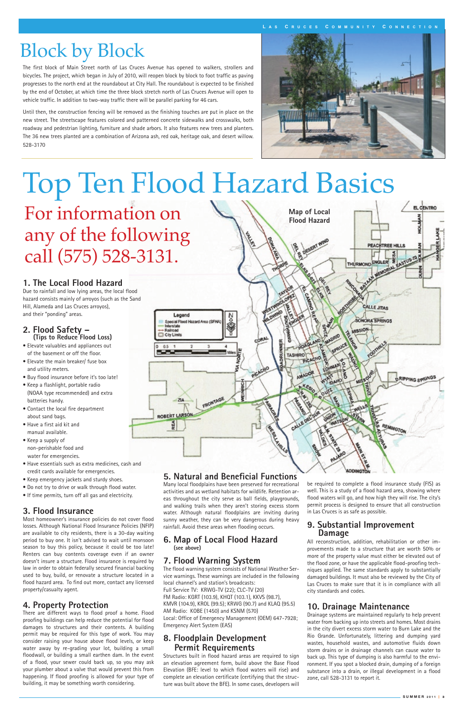# Block by Block

The first block of Main Street north of Las Cruces Avenue has opened to walkers, strollers and bicycles. The project, which began in July of 2010, will reopen block by block to foot traffic as paving progresses to the north end at the roundabout at City Hall. The roundabout is expected to be finished by the end of October, at which time the three block stretch north of Las Cruces Avenue will open to vehicle traffic. In addition to two-way traffic there will be parallel parking for 46 cars.

Until then, the construction fencing will be removed as the finishing touches are put in place on the new street. The streetscape features colored and patterned concrete sidewalks and crosswalks, both roadway and pedestrian lighting, furniture and shade arbors. It also features new trees and planters. The 36 new trees planted are a combination of Arizona ash, red oak, heritage oak, and desert willow. 528-3170



**L A S C R U C E S C O M M U N I T Y C O N N E C T I O N**



# Top Ten Flood Hazard Basics

For information on any of the following call (575) 528-3131.

#### **5. Natural and Beneficial Functions**

Many local floodplains have been preserved for recreational activities and as wetland habitats for wildlife. Retention areas throughout the city serve as ball fields, playgrounds, and walking trails when they aren't storing excess storm water. Although natural floodplains are inviting during sunny weather, they can be very dangerous during heavy

#### **6. Map of Local Flood Hazard (see above)**

#### **7. Flood Warning System**

The flood warning system consists of National Weather Service warnings. These warnings are included in the following local channel's and station's broadcasts: Full Service TV: KRWG-TV (22); CLC-TV (20) FM Radio: KGRT (103.9), KHQT (103.1), KKVS (98.7), KMVR (104.9), KROL (99.5); KRWG (90.7) and KLAQ (95.5) AM Radio: KOBE (1450) and KSNM (570) Local: Office of Emergency Management (OEM) 647-7928; Emergency Alert System (EAS)

#### **8. Floodplain Development Permit Requirements**

Structures built in flood hazard areas are required to sign an elevation agreement form, build above the Base Flood Elevation (BFE: level to which flood waters will rise) and complete an elevation certificate (certifying that the structure was built above the BFE). In some cases, developers will

be required to complete a flood insurance study (FIS) as well. This is a study of a flood hazard area, showing where flood waters will go, and how high they will rise. The city's permit process is designed to ensure that all construction in Las Cruces is as safe as possible.

#### **9. Substantial Improvement**

#### **Damage**

All reconstruction, addition, rehabilitation or other improvements made to a structure that are worth 50% or more of the property value must either be elevated out of the flood zone, or have the applicable flood-proofing techniques applied. The same standards apply to substantially damaged buildings. It must also be reviewed by the City of Las Cruces to make sure that it is in compliance with all city standards and codes.

#### **10. Drainage Maintenance**

Drainage systems are maintained regularly to help prevent water from backing up into streets and homes. Most drains in the city divert excess storm water to Burn Lake and the Rio Grande. Unfortunately, littering and dumping yard wastes, household wastes, and automotive fluids down storm drains or in drainage channels can cause water to back up. This type of dumping is also harmful to the environment. If you spot a blocked drain, dumping of a foreign substance into a drain, or illegal development in a flood zone, call 528-3131 to report it.

# **2. Flood Safety – (Tips to Reduce Flood Loss)**

- Elevate valuables and appliances out of the basement or off the floor.
- Elevate the main breaker/ fuse box and utility meters.
- Buy flood insurance before it's too late!
- Keep a flashlight, portable radio (NOAA type recommended) and extra batteries handy.
- Contact the local fire department about sand bags.
- Have a first aid kit and manual available.
- Keep a supply of non-perishable food and water for emergencies.
- Have essentials such as extra medicines, cash and credit cards available for emergencies.
- Keep emergency jackets and sturdy shoes.
- Do not try to drive or walk through flood water.
- If time permits, turn off all gas and electricity.

#### **3. Flood Insurance**

Most homeowner's insurance policies do not cover flood losses. Although National Flood Insurance Policies (NFIP) are available to city residents, there is a 30-day waiting period to buy one. It isn't advised to wait until monsoon season to buy this policy, because it could be too late! Renters can buy contents coverage even if an owner doesn't insure a structure. Flood insurance is required by law in order to obtain federally secured financial backing used to buy, build, or renovate a structure located in a flood hazard area. To find out more, contact any licensed property/casualty agent.

#### **4. Property Protection**

There are different ways to flood proof a home. Flood proofing buildings can help reduce the potential for flood damages to structures and their contents. A building permit may be required for this type of work. You may consider raising your house above flood levels, or keep water away by re-grading your lot, building a small floodwall, or building a small earthen dam. In the event of a flood, your sewer could back up, so you may ask your plumber about a valve that would prevent this from happening. If flood proofing is allowed for your type of building, it may be something worth considering.

rainfall. Avoid these areas when flooding occu

#### **1. The Local Flood Hazard**

Due to rainfall and low lying areas, the local flood hazard consists mainly of arroyos (such as the Sand Hill, Alameda and Las Cruces arroyos), and their "ponding" areas.